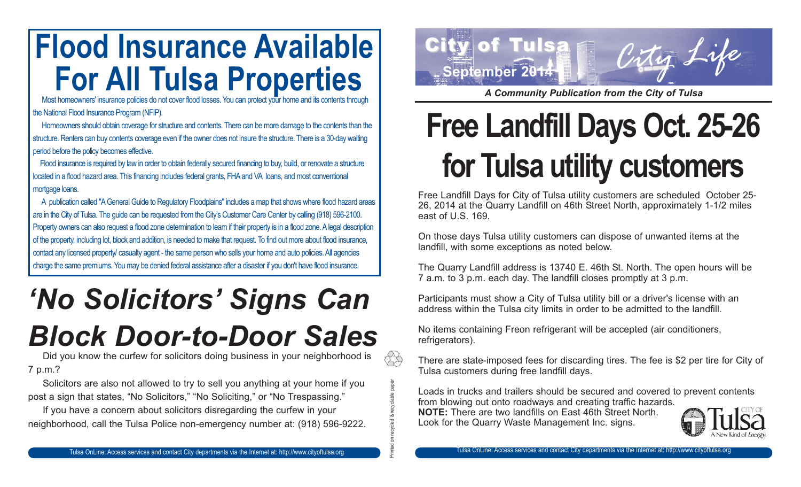# **Flood Insurance Available For All Tulsa Properties**<br>Most homeowners' insurance policies do not cover flood losses. You can protect your home and its contents through

the National Flood Insurance Program (NFIP).

Homeowners should obtain coverage for structure and contents. There can be more damage to the contents than the structure. Renters can buy contents coverage even if the owner does not insure the structure. There is a 30-day waiting period before the policy becomes effective.

Flood insurance is required by law in order to obtain federally secured financing to buy, build, or renovate a structure located in a flood hazard area. This financing includes federal grants, FHA and VA loans, and most conventional mortgage loans.

A publication called "A General Guide to Regulatory Floodplains" includes a map that shows where flood hazard areas are in the City of Tulsa. The guide can be requested from the City's Customer Care Center by calling (918) 596-2100. Property owners can also request a flood zone determination to learn if their property is in a flood zone. A legal description of the property, including lot, block and addition, is needed to make that request. To find out more about flood insurance, contact any licensed property/ casualty agent - the same person who sells your home and auto policies. All agencies charge the same premiums. You may be denied federal assistance after a disaster if you don't have flood insurance.

## *'No Solicitors' Signs Can Block Door-to-Door Sales*

Did you know the curfew for solicitors doing business in your neighborhood is 7 p.m.?

Solicitors are also not allowed to try to sell you anything at your home if you post a sign that states, "No Solicitors," "No Soliciting," or "No Trespassing."

If you have a concern about solicitors disregarding the curfew in your neighborhood, call the Tulsa Police non-emergency number at: (918) 596-9222.



*A Community Publication from the City of Tulsa*

# **Free Landfill Days Oct. 25-26 for Tulsa utility customers**

Free Landfill Days for City of Tulsa utility customers are scheduled October 25- 26, 2014 at the Quarry Landfill on 46th Street North, approximately 1-1/2 miles east of U.S. 169.

On those days Tulsa utility customers can dispose of unwanted items at the landfill, with some exceptions as noted below.

The Quarry Landfill address is 13740 E. 46th St. North. The open hours will be 7 a.m. to 3 p.m. each day. The landfill closes promptly at 3 p.m.

Participants must show a City of Tulsa utility bill or a driver's license with an address within the Tulsa city limits in order to be admitted to the landfill.

No items containing Freon refrigerant will be accepted (air conditioners, refrigerators).

There are state-imposed fees for discarding tires. The fee is \$2 per tire for City of Tulsa customers during free landfill days.

Loads in trucks and trailers should be secured and covered to prevent contents from blowing out onto roadways and creating traffic hazards.

**NOTE:** There are two landfills on East 46th Street North. Look for the Quarry Waste Management Inc. signs.

Printed on recycled & recyclable paper

88